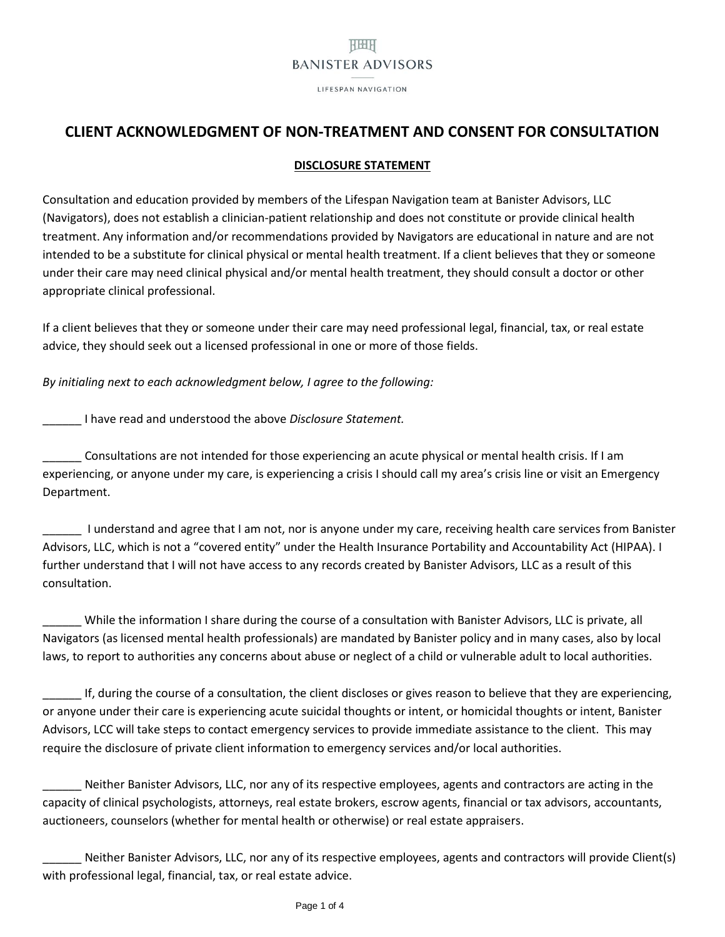# **HBHH BANISTER ADVISORS**

LIFESPAN NAVIGATION

# **CLIENT ACKNOWLEDGMENT OF NON-TREATMENT AND CONSENT FOR CONSULTATION**

### **DISCLOSURE STATEMENT**

Consultation and education provided by members of the Lifespan Navigation team at Banister Advisors, LLC (Navigators), does not establish a clinician-patient relationship and does not constitute or provide clinical health treatment. Any information and/or recommendations provided by Navigators are educational in nature and are not intended to be a substitute for clinical physical or mental health treatment. If a client believes that they or someone under their care may need clinical physical and/or mental health treatment, they should consult a doctor or other appropriate clinical professional.

If a client believes that they or someone under their care may need professional legal, financial, tax, or real estate advice, they should seek out a licensed professional in one or more of those fields.

*By initialing next to each acknowledgment below, I agree to the following:* 

\_\_\_\_\_\_ I have read and understood the above *Disclosure Statement.*

Consultations are not intended for those experiencing an acute physical or mental health crisis. If I am experiencing, or anyone under my care, is experiencing a crisis I should call my area's crisis line or visit an Emergency Department.

\_\_\_\_\_\_ I understand and agree that I am not, nor is anyone under my care, receiving health care services from Banister Advisors, LLC, which is not a "covered entity" under the Health Insurance Portability and Accountability Act (HIPAA). I further understand that I will not have access to any records created by Banister Advisors, LLC as a result of this consultation.

While the information I share during the course of a consultation with Banister Advisors, LLC is private, all Navigators (as licensed mental health professionals) are mandated by Banister policy and in many cases, also by local laws, to report to authorities any concerns about abuse or neglect of a child or vulnerable adult to local authorities.

\_\_\_\_\_\_ If, during the course of a consultation, the client discloses or gives reason to believe that they are experiencing, or anyone under their care is experiencing acute suicidal thoughts or intent, or homicidal thoughts or intent, Banister Advisors, LCC will take steps to contact emergency services to provide immediate assistance to the client. This may require the disclosure of private client information to emergency services and/or local authorities.

Neither Banister Advisors, LLC, nor any of its respective employees, agents and contractors are acting in the capacity of clinical psychologists, attorneys, real estate brokers, escrow agents, financial or tax advisors, accountants, auctioneers, counselors (whether for mental health or otherwise) or real estate appraisers.

Neither Banister Advisors, LLC, nor any of its respective employees, agents and contractors will provide Client(s) with professional legal, financial, tax, or real estate advice.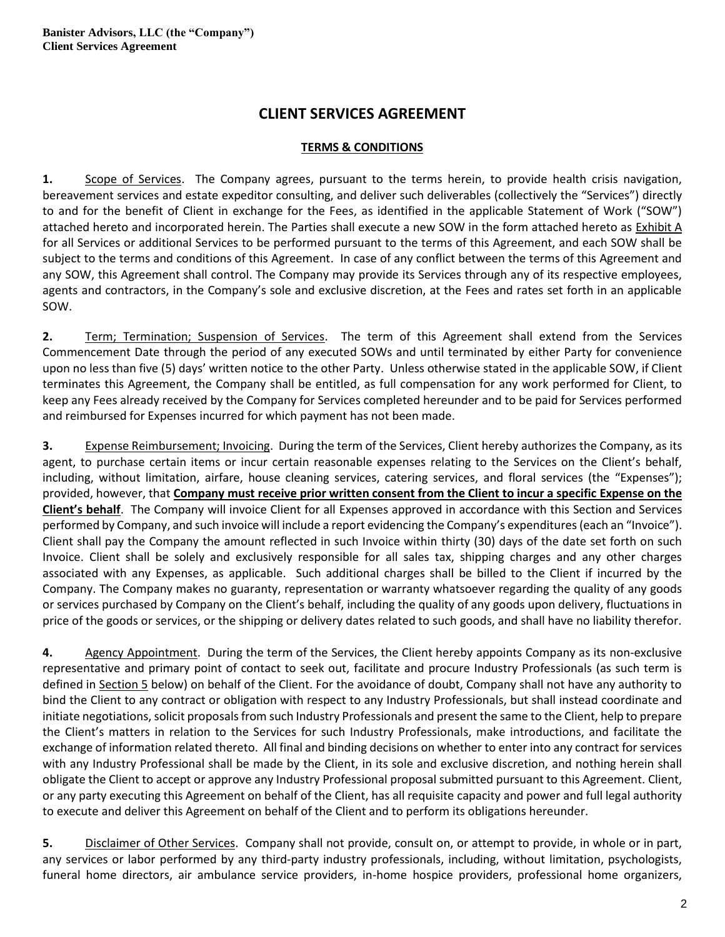# **CLIENT SERVICES AGREEMENT**

### **TERMS & CONDITIONS**

**1.** Scope of Services. The Company agrees, pursuant to the terms herein, to provide health crisis navigation, bereavement services and estate expeditor consulting, and deliver such deliverables (collectively the "Services") directly to and for the benefit of Client in exchange for the Fees, as identified in the applicable Statement of Work ("SOW") attached hereto and incorporated herein. The Parties shall execute a new SOW in the form attached hereto as Exhibit A for all Services or additional Services to be performed pursuant to the terms of this Agreement, and each SOW shall be subject to the terms and conditions of this Agreement. In case of any conflict between the terms of this Agreement and any SOW, this Agreement shall control. The Company may provide its Services through any of its respective employees, agents and contractors, in the Company's sole and exclusive discretion, at the Fees and rates set forth in an applicable SOW.

**2.** Term; Termination; Suspension of Services. The term of this Agreement shall extend from the Services Commencement Date through the period of any executed SOWs and until terminated by either Party for convenience upon no less than five (5) days' written notice to the other Party. Unless otherwise stated in the applicable SOW, if Client terminates this Agreement, the Company shall be entitled, as full compensation for any work performed for Client, to keep any Fees already received by the Company for Services completed hereunder and to be paid for Services performed and reimbursed for Expenses incurred for which payment has not been made.

**3.** Expense Reimbursement; Invoicing. During the term of the Services, Client hereby authorizes the Company, as its agent, to purchase certain items or incur certain reasonable expenses relating to the Services on the Client's behalf, including, without limitation, airfare, house cleaning services, catering services, and floral services (the "Expenses"); provided, however, that **Company must receive prior written consent from the Client to incur a specific Expense on the Client's behalf**. The Company will invoice Client for all Expenses approved in accordance with this Section and Services performed by Company, and such invoice will include a report evidencing the Company's expenditures(each an "Invoice"). Client shall pay the Company the amount reflected in such Invoice within thirty (30) days of the date set forth on such Invoice. Client shall be solely and exclusively responsible for all sales tax, shipping charges and any other charges associated with any Expenses, as applicable. Such additional charges shall be billed to the Client if incurred by the Company. The Company makes no guaranty, representation or warranty whatsoever regarding the quality of any goods or services purchased by Company on the Client's behalf, including the quality of any goods upon delivery, fluctuations in price of the goods or services, or the shipping or delivery dates related to such goods, and shall have no liability therefor.

**4.** Agency Appointment. During the term of the Services, the Client hereby appoints Company as its non-exclusive representative and primary point of contact to seek out, facilitate and procure Industry Professionals (as such term is defined in Section 5 below) on behalf of the Client. For the avoidance of doubt, Company shall not have any authority to bind the Client to any contract or obligation with respect to any Industry Professionals, but shall instead coordinate and initiate negotiations, solicit proposals from such Industry Professionals and present the same to the Client, help to prepare the Client's matters in relation to the Services for such Industry Professionals, make introductions, and facilitate the exchange of information related thereto. All final and binding decisions on whether to enter into any contract for services with any Industry Professional shall be made by the Client, in its sole and exclusive discretion, and nothing herein shall obligate the Client to accept or approve any Industry Professional proposal submitted pursuant to this Agreement. Client, or any party executing this Agreement on behalf of the Client, has all requisite capacity and power and full legal authority to execute and deliver this Agreement on behalf of the Client and to perform its obligations hereunder.

**5.** Disclaimer of Other Services. Company shall not provide, consult on, or attempt to provide, in whole or in part, any services or labor performed by any third-party industry professionals, including, without limitation, psychologists, funeral home directors, air ambulance service providers, in-home hospice providers, professional home organizers,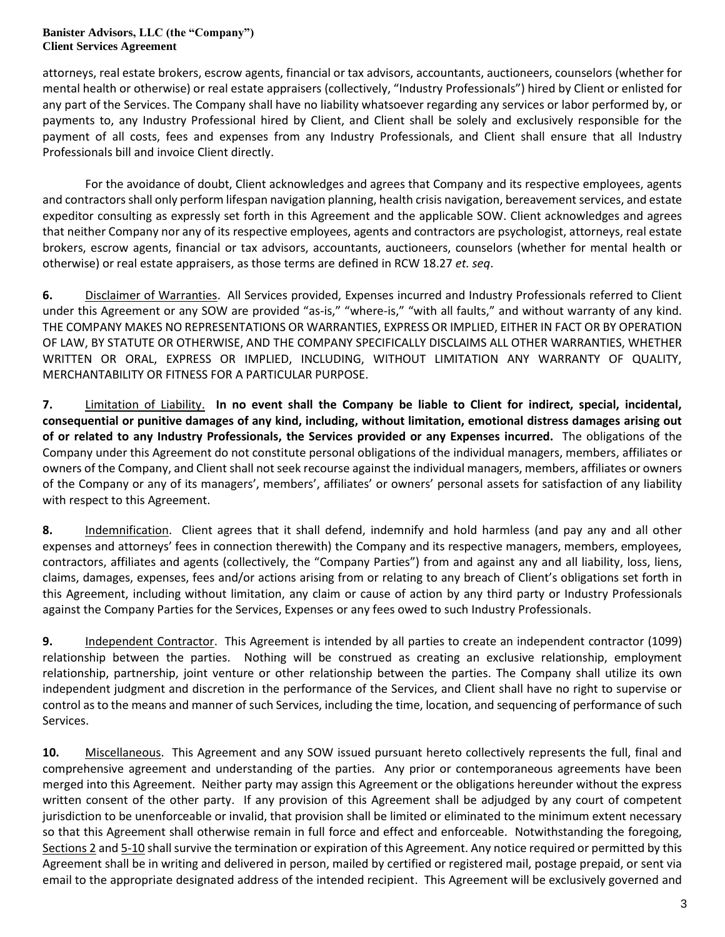#### **Banister Advisors, LLC (the "Company") Client Services Agreement**

attorneys, real estate brokers, escrow agents, financial or tax advisors, accountants, auctioneers, counselors (whether for mental health or otherwise) or real estate appraisers (collectively, "Industry Professionals") hired by Client or enlisted for any part of the Services. The Company shall have no liability whatsoever regarding any services or labor performed by, or payments to, any Industry Professional hired by Client, and Client shall be solely and exclusively responsible for the payment of all costs, fees and expenses from any Industry Professionals, and Client shall ensure that all Industry Professionals bill and invoice Client directly.

For the avoidance of doubt, Client acknowledges and agrees that Company and its respective employees, agents and contractorsshall only perform lifespan navigation planning, health crisis navigation, bereavement services, and estate expeditor consulting as expressly set forth in this Agreement and the applicable SOW. Client acknowledges and agrees that neither Company nor any of its respective employees, agents and contractors are psychologist, attorneys, real estate brokers, escrow agents, financial or tax advisors, accountants, auctioneers, counselors (whether for mental health or otherwise) or real estate appraisers, as those terms are defined in RCW 18.27 *et. seq*.

**6.** Disclaimer of Warranties. All Services provided, Expenses incurred and Industry Professionals referred to Client under this Agreement or any SOW are provided "as-is," "where-is," "with all faults," and without warranty of any kind. THE COMPANY MAKES NO REPRESENTATIONS OR WARRANTIES, EXPRESS OR IMPLIED, EITHER IN FACT OR BY OPERATION OF LAW, BY STATUTE OR OTHERWISE, AND THE COMPANY SPECIFICALLY DISCLAIMS ALL OTHER WARRANTIES, WHETHER WRITTEN OR ORAL, EXPRESS OR IMPLIED, INCLUDING, WITHOUT LIMITATION ANY WARRANTY OF QUALITY, MERCHANTABILITY OR FITNESS FOR A PARTICULAR PURPOSE.

**7.** Limitation of Liability. **In no event shall the Company be liable to Client for indirect, special, incidental, consequential or punitive damages of any kind, including, without limitation, emotional distress damages arising out of or related to any Industry Professionals, the Services provided or any Expenses incurred.** The obligations of the Company under this Agreement do not constitute personal obligations of the individual managers, members, affiliates or owners of the Company, and Client shall not seek recourse against the individual managers, members, affiliates or owners of the Company or any of its managers', members', affiliates' or owners' personal assets for satisfaction of any liability with respect to this Agreement.

**8.** Indemnification. Client agrees that it shall defend, indemnify and hold harmless (and pay any and all other expenses and attorneys' fees in connection therewith) the Company and its respective managers, members, employees, contractors, affiliates and agents (collectively, the "Company Parties") from and against any and all liability, loss, liens, claims, damages, expenses, fees and/or actions arising from or relating to any breach of Client's obligations set forth in this Agreement, including without limitation, any claim or cause of action by any third party or Industry Professionals against the Company Parties for the Services, Expenses or any fees owed to such Industry Professionals.

**9.** Independent Contractor. This Agreement is intended by all parties to create an independent contractor (1099) relationship between the parties. Nothing will be construed as creating an exclusive relationship, employment relationship, partnership, joint venture or other relationship between the parties. The Company shall utilize its own independent judgment and discretion in the performance of the Services, and Client shall have no right to supervise or control as to the means and manner of such Services, including the time, location, and sequencing of performance of such Services.

**10.** Miscellaneous. This Agreement and any SOW issued pursuant hereto collectively represents the full, final and comprehensive agreement and understanding of the parties. Any prior or contemporaneous agreements have been merged into this Agreement. Neither party may assign this Agreement or the obligations hereunder without the express written consent of the other party. If any provision of this Agreement shall be adjudged by any court of competent jurisdiction to be unenforceable or invalid, that provision shall be limited or eliminated to the minimum extent necessary so that this Agreement shall otherwise remain in full force and effect and enforceable. Notwithstanding the foregoing, Sections 2 and 5-10 shall survive the termination or expiration of this Agreement. Any notice required or permitted by this Agreement shall be in writing and delivered in person, mailed by certified or registered mail, postage prepaid, or sent via email to the appropriate designated address of the intended recipient. This Agreement will be exclusively governed and